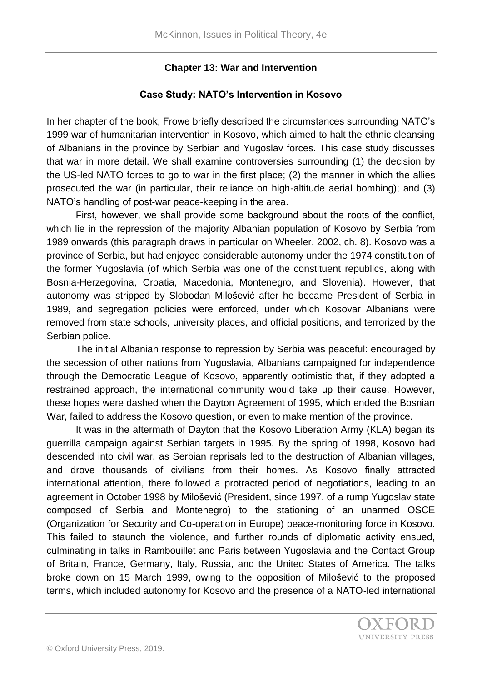## **Chapter 13: War and Intervention**

# **Case Study: NATO's Intervention in Kosovo**

In her chapter of the book, Frowe briefly described the circumstances surrounding NATO's 1999 war of humanitarian intervention in Kosovo, which aimed to halt the ethnic cleansing of Albanians in the province by Serbian and Yugoslav forces. This case study discusses that war in more detail. We shall examine controversies surrounding (1) the decision by the US-led NATO forces to go to war in the first place; (2) the manner in which the allies prosecuted the war (in particular, their reliance on high-altitude aerial bombing); and (3) NATO's handling of post-war peace-keeping in the area.

First, however, we shall provide some background about the roots of the conflict, which lie in the repression of the majority Albanian population of Kosovo by Serbia from 1989 onwards (this paragraph draws in particular on Wheeler, 2002, ch. 8). Kosovo was a province of Serbia, but had enjoyed considerable autonomy under the 1974 constitution of the former Yugoslavia (of which Serbia was one of the constituent republics, along with Bosnia-Herzegovina, Croatia, Macedonia, Montenegro, and Slovenia). However, that autonomy was stripped by Slobodan Milošević after he became President of Serbia in 1989, and segregation policies were enforced, under which Kosovar Albanians were removed from state schools, university places, and official positions, and terrorized by the Serbian police.

The initial Albanian response to repression by Serbia was peaceful: encouraged by the secession of other nations from Yugoslavia, Albanians campaigned for independence through the Democratic League of Kosovo, apparently optimistic that, if they adopted a restrained approach, the international community would take up their cause. However, these hopes were dashed when the Dayton Agreement of 1995, which ended the Bosnian War, failed to address the Kosovo question, or even to make mention of the province.

It was in the aftermath of Dayton that the Kosovo Liberation Army (KLA) began its guerrilla campaign against Serbian targets in 1995. By the spring of 1998, Kosovo had descended into civil war, as Serbian reprisals led to the destruction of Albanian villages, and drove thousands of civilians from their homes. As Kosovo finally attracted international attention, there followed a protracted period of negotiations, leading to an agreement in October 1998 by Milošević (President, since 1997, of a rump Yugoslav state composed of Serbia and Montenegro) to the stationing of an unarmed OSCE (Organization for Security and Co-operation in Europe) peace-monitoring force in Kosovo. This failed to staunch the violence, and further rounds of diplomatic activity ensued, culminating in talks in Rambouillet and Paris between Yugoslavia and the Contact Group of Britain, France, Germany, Italy, Russia, and the United States of America. The talks broke down on 15 March 1999, owing to the opposition of Milošević to the proposed terms, which included autonomy for Kosovo and the presence of a NATO-led international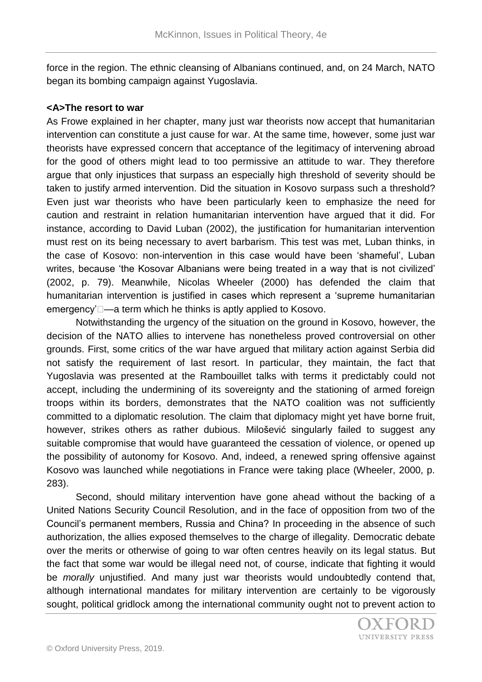force in the region. The ethnic cleansing of Albanians continued, and, on 24 March, NATO began its bombing campaign against Yugoslavia.

#### **<A>The resort to war**

As Frowe explained in her chapter, many just war theorists now accept that humanitarian intervention can constitute a just cause for war. At the same time, however, some just war theorists have expressed concern that acceptance of the legitimacy of intervening abroad for the good of others might lead to too permissive an attitude to war. They therefore argue that only injustices that surpass an especially high threshold of severity should be taken to justify armed intervention. Did the situation in Kosovo surpass such a threshold? Even just war theorists who have been particularly keen to emphasize the need for caution and restraint in relation humanitarian intervention have argued that it did. For instance, according to David Luban (2002), the justification for humanitarian intervention must rest on its being necessary to avert barbarism. This test was met, Luban thinks, in the case of Kosovo: non-intervention in this case would have been 'shameful', Luban writes, because 'the Kosovar Albanians were being treated in a way that is not civilized' (2002, p. 79). Meanwhile, Nicolas Wheeler (2000) has defended the claim that humanitarian intervention is justified in cases which represent a 'supreme humanitarian emergency' $\Box$ —a term which he thinks is aptly applied to Kosovo.

Notwithstanding the urgency of the situation on the ground in Kosovo, however, the decision of the NATO allies to intervene has nonetheless proved controversial on other grounds. First, some critics of the war have argued that military action against Serbia did not satisfy the requirement of last resort. In particular, they maintain, the fact that Yugoslavia was presented at the Rambouillet talks with terms it predictably could not accept, including the undermining of its sovereignty and the stationing of armed foreign troops within its borders, demonstrates that the NATO coalition was not sufficiently committed to a diplomatic resolution. The claim that diplomacy might yet have borne fruit, however, strikes others as rather dubious. Milošević singularly failed to suggest any suitable compromise that would have guaranteed the cessation of violence, or opened up the possibility of autonomy for Kosovo. And, indeed, a renewed spring offensive against Kosovo was launched while negotiations in France were taking place (Wheeler, 2000, p. 283).

Second, should military intervention have gone ahead without the backing of a United Nations Security Council Resolution, and in the face of opposition from two of the Council's permanent members, Russia and China? In proceeding in the absence of such authorization, the allies exposed themselves to the charge of illegality. Democratic debate over the merits or otherwise of going to war often centres heavily on its legal status. But the fact that some war would be illegal need not, of course, indicate that fighting it would be *morally* unjustified. And many just war theorists would undoubtedly contend that, although international mandates for military intervention are certainly to be vigorously sought, political gridlock among the international community ought not to prevent action to

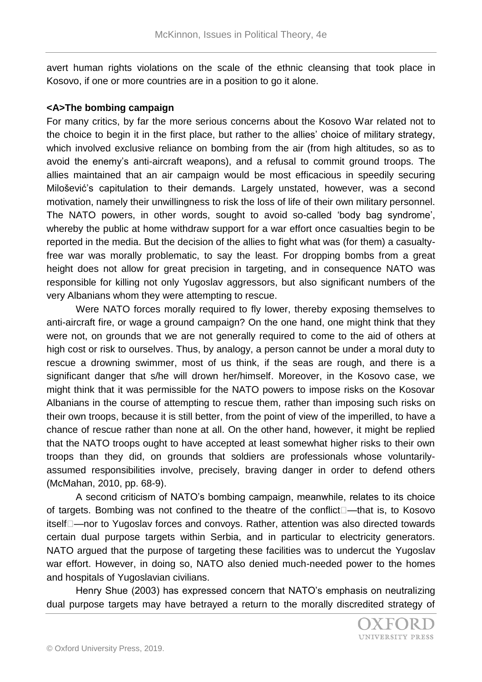avert human rights violations on the scale of the ethnic cleansing that took place in Kosovo, if one or more countries are in a position to go it alone.

### **<A>The bombing campaign**

For many critics, by far the more serious concerns about the Kosovo War related not to the choice to begin it in the first place, but rather to the allies' choice of military strategy, which involved exclusive reliance on bombing from the air (from high altitudes, so as to avoid the enemy's anti-aircraft weapons), and a refusal to commit ground troops. The allies maintained that an air campaign would be most efficacious in speedily securing Milošević's capitulation to their demands. Largely unstated, however, was a second motivation, namely their unwillingness to risk the loss of life of their own military personnel. The NATO powers, in other words, sought to avoid so-called 'body bag syndrome', whereby the public at home withdraw support for a war effort once casualties begin to be reported in the media. But the decision of the allies to fight what was (for them) a casualtyfree war was morally problematic, to say the least. For dropping bombs from a great height does not allow for great precision in targeting, and in consequence NATO was responsible for killing not only Yugoslav aggressors, but also significant numbers of the very Albanians whom they were attempting to rescue.

Were NATO forces morally required to fly lower, thereby exposing themselves to anti-aircraft fire, or wage a ground campaign? On the one hand, one might think that they were not, on grounds that we are not generally required to come to the aid of others at high cost or risk to ourselves. Thus, by analogy, a person cannot be under a moral duty to rescue a drowning swimmer, most of us think, if the seas are rough, and there is a significant danger that s/he will drown her/himself. Moreover, in the Kosovo case, we might think that it was permissible for the NATO powers to impose risks on the Kosovar Albanians in the course of attempting to rescue them, rather than imposing such risks on their own troops, because it is still better, from the point of view of the imperilled, to have a chance of rescue rather than none at all. On the other hand, however, it might be replied that the NATO troops ought to have accepted at least somewhat higher risks to their own troops than they did, on grounds that soldiers are professionals whose voluntarilyassumed responsibilities involve, precisely, braving danger in order to defend others (McMahan, 2010, pp. 68-9).

A second criticism of NATO's bombing campaign, meanwhile, relates to its choice of targets. Bombing was not confined to the theatre of the conflict $\Box$ —that is, to Kosovo itself□—nor to Yugoslav forces and convoys. Rather, attention was also directed towards certain dual purpose targets within Serbia, and in particular to electricity generators. NATO argued that the purpose of targeting these facilities was to undercut the Yugoslav war effort. However, in doing so, NATO also denied much-needed power to the homes and hospitals of Yugoslavian civilians.

Henry Shue (2003) has expressed concern that NATO's emphasis on neutralizing dual purpose targets may have betrayed a return to the morally discredited strategy of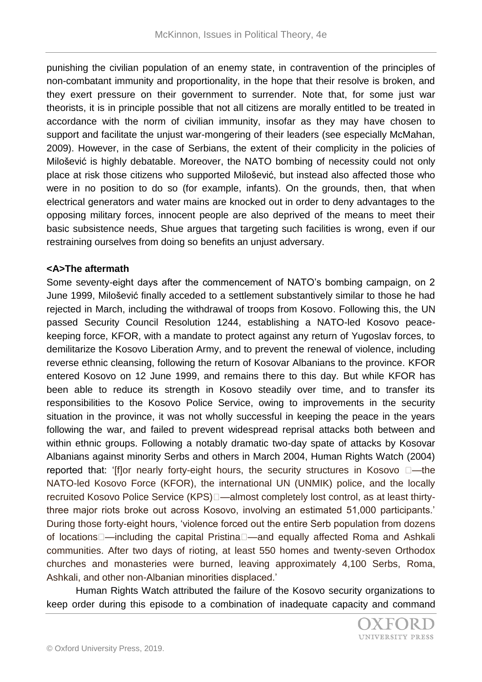punishing the civilian population of an enemy state, in contravention of the principles of non-combatant immunity and proportionality, in the hope that their resolve is broken, and they exert pressure on their government to surrender. Note that, for some just war theorists, it is in principle possible that not all citizens are morally entitled to be treated in accordance with the norm of civilian immunity, insofar as they may have chosen to support and facilitate the unjust war-mongering of their leaders (see especially McMahan, 2009). However, in the case of Serbians, the extent of their complicity in the policies of Milošević is highly debatable. Moreover, the NATO bombing of necessity could not only place at risk those citizens who supported Milošević, but instead also affected those who were in no position to do so (for example, infants). On the grounds, then, that when electrical generators and water mains are knocked out in order to deny advantages to the opposing military forces, innocent people are also deprived of the means to meet their basic subsistence needs, Shue argues that targeting such facilities is wrong, even if our restraining ourselves from doing so benefits an unjust adversary.

## **<A>The aftermath**

Some seventy-eight days after the commencement of NATO's bombing campaign, on 2 June 1999, Milošević finally acceded to a settlement substantively similar to those he had rejected in March, including the withdrawal of troops from Kosovo. Following this, the UN passed Security Council Resolution 1244, establishing a NATO-led Kosovo peacekeeping force, KFOR, with a mandate to protect against any return of Yugoslav forces, to demilitarize the Kosovo Liberation Army, and to prevent the renewal of violence, including reverse ethnic cleansing, following the return of Kosovar Albanians to the province. KFOR entered Kosovo on 12 June 1999, and remains there to this day. But while KFOR has been able to reduce its strength in Kosovo steadily over time, and to transfer its responsibilities to the Kosovo Police Service, owing to improvements in the security situation in the province, it was not wholly successful in keeping the peace in the years following the war, and failed to prevent widespread reprisal attacks both between and within ethnic groups. Following a notably dramatic two-day spate of attacks by Kosovar Albanians against minority Serbs and others in March 2004, Human Rights Watch (2004) reported that: '[f]or nearly forty-eight hours, the security structures in Kosovo  $\Box$ —the NATO-led Kosovo Force (KFOR), the international UN (UNMIK) police, and the locally recruited Kosovo Police Service (KPS) -- almost completely lost control, as at least thirtythree major riots broke out across Kosovo, involving an estimated 51,000 participants.' During those forty-eight hours, 'violence forced out the entire Serb population from dozens of locations – including the capital Pristina – and equally affected Roma and Ashkali communities. After two days of rioting, at least 550 homes and twenty-seven Orthodox churches and monasteries were burned, leaving approximately 4,100 Serbs, Roma, Ashkali, and other non-Albanian minorities displaced.'

Human Rights Watch attributed the failure of the Kosovo security organizations to keep order during this episode to a combination of inadequate capacity and command